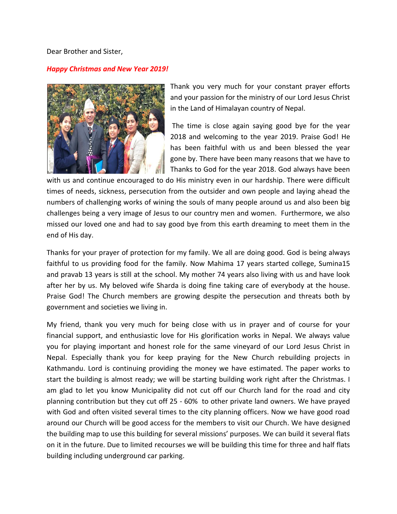Dear Brother and Sister,

## *Happy Christmas and New Year 2019!*



Thank you very much for your constant prayer efforts and your passion for the ministry of our Lord Jesus Christ in the Land of Himalayan country of Nepal.

The time is close again saying good bye for the year 2018 and welcoming to the year 2019. Praise God! He has been faithful with us and been blessed the year gone by. There have been many reasons that we have to Thanks to God for the year 2018. God always have been

with us and continue encouraged to do His ministry even in our hardship. There were difficult times of needs, sickness, persecution from the outsider and own people and laying ahead the numbers of challenging works of wining the souls of many people around us and also been big challenges being a very image of Jesus to our country men and women. Furthermore, we also missed our loved one and had to say good bye from this earth dreaming to meet them in the end of His day.

Thanks for your prayer of protection for my family. We all are doing good. God is being always faithful to us providing food for the family. Now Mahima 17 years started college, Sumina15 and pravab 13 years is still at the school. My mother 74 years also living with us and have look after her by us. My beloved wife Sharda is doing fine taking care of everybody at the house. Praise God! The Church members are growing despite the persecution and threats both by government and societies we living in.

My friend, thank you very much for being close with us in prayer and of course for your financial support, and enthusiastic love for His glorification works in Nepal. We always value you for playing important and honest role for the same vineyard of our Lord Jesus Christ in Nepal. Especially thank you for keep praying for the New Church rebuilding projects in Kathmandu. Lord is continuing providing the money we have estimated. The paper works to start the building is almost ready; we will be starting building work right after the Christmas. I am glad to let you know Municipality did not cut off our Church land for the road and city planning contribution but they cut off 25 - 60% to other private land owners. We have prayed with God and often visited several times to the city planning officers. Now we have good road around our Church will be good access for the members to visit our Church. We have designed the building map to use this building for several missions' purposes. We can build it several flats on it in the future. Due to limited recourses we will be building this time for three and half flats building including underground car parking.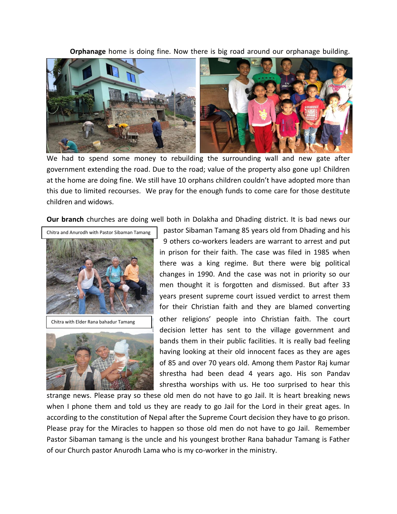**Orphanage** home is doing fine. Now there is big road around our orphanage building.



We had to spend some money to rebuilding the surrounding wall and new gate after government extending the road. Due to the road; value of the property also gone up! Children at the home are doing fine. We still have 10 orphans children couldn't have adopted more than this due to limited recourses. We pray for the enough funds to come care for those destitute children and widows.

**Our branch** churches are doing well both in Dolakha and Dhading district. It is bad news our





pastor Sibaman Tamang 85 years old from Dhading and his 9 others co-workers leaders are warrant to arrest and put in prison for their faith. The case was filed in 1985 when there was a king regime. But there were big political changes in 1990. And the case was not in priority so our men thought it is forgotten and dismissed. But after 33 years present supreme court issued verdict to arrest them for their Christian faith and they are blamed converting other religions' people into Christian faith. The court decision letter has sent to the village government and bands them in their public facilities. It is really bad feeling having looking at their old innocent faces as they are ages of 85 and over 70 years old. Among them Pastor Raj kumar shrestha had been dead 4 years ago. His son Pandav shrestha worships with us. He too surprised to hear this

strange news. Please pray so these old men do not have to go Jail. It is heart breaking news when I phone them and told us they are ready to go Jail for the Lord in their great ages. In according to the constitution of Nepal after the Supreme Court decision they have to go prison. Please pray for the Miracles to happen so those old men do not have to go Jail. Remember Pastor Sibaman tamang is the uncle and his youngest brother Rana bahadur Tamang is Father of our Church pastor Anurodh Lama who is my co-worker in the ministry.